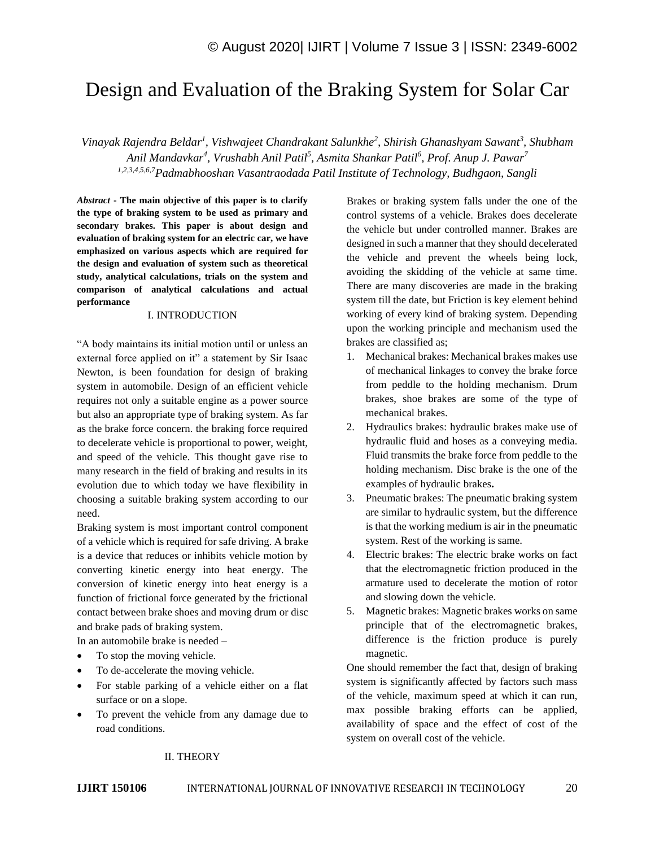# Design and Evaluation of the Braking System for Solar Car

*Vinayak Rajendra Beldar<sup>1</sup> , Vishwajeet Chandrakant Salunkhe<sup>2</sup> , Shirish Ghanashyam Sawant<sup>3</sup> , Shubham Anil Mandavkar<sup>4</sup> , Vrushabh Anil Patil<sup>5</sup> , Asmita Shankar Patil<sup>6</sup> , Prof. Anup J. Pawar<sup>7</sup> 1,2,3,4,5,6,7Padmabhooshan Vasantraodada Patil Institute of Technology, Budhgaon, Sangli*

*Abstract* **- The main objective of this paper is to clarify the type of braking system to be used as primary and secondary brakes. This paper is about design and evaluation of braking system for an electric car, we have emphasized on various aspects which are required for the design and evaluation of system such as theoretical study, analytical calculations, trials on the system and comparison of analytical calculations and actual performance**

#### I. INTRODUCTION

"A body maintains its initial motion until or unless an external force applied on it" a statement by Sir Isaac Newton, is been foundation for design of braking system in automobile. Design of an efficient vehicle requires not only a suitable engine as a power source but also an appropriate type of braking system. As far as the brake force concern. the braking force required to decelerate vehicle is proportional to power, weight, and speed of the vehicle. This thought gave rise to many research in the field of braking and results in its evolution due to which today we have flexibility in choosing a suitable braking system according to our need.

Braking system is most important control component of a vehicle which is required for safe driving. A brake is a device that reduces or inhibits vehicle motion by converting kinetic energy into heat energy. The conversion of kinetic energy into heat energy is a function of frictional force generated by the frictional contact between brake shoes and moving drum or disc and brake pads of braking system.

In an automobile brake is needed –

- To stop the moving vehicle.
- To de-accelerate the moving vehicle.
- For stable parking of a vehicle either on a flat surface or on a slope.
- To prevent the vehicle from any damage due to road conditions.

Brakes or braking system falls under the one of the control systems of a vehicle. Brakes does decelerate the vehicle but under controlled manner. Brakes are designed in such a manner that they should decelerated the vehicle and prevent the wheels being lock, avoiding the skidding of the vehicle at same time. There are many discoveries are made in the braking system till the date, but Friction is key element behind working of every kind of braking system. Depending upon the working principle and mechanism used the brakes are classified as;

- 1. Mechanical brakes: Mechanical brakes makes use of mechanical linkages to convey the brake force from peddle to the holding mechanism. Drum brakes, shoe brakes are some of the type of mechanical brakes.
- 2. Hydraulics brakes: hydraulic brakes make use of hydraulic fluid and hoses as a conveying media. Fluid transmits the brake force from peddle to the holding mechanism. Disc brake is the one of the examples of hydraulic brakes**.**
- 3. Pneumatic brakes: The pneumatic braking system are similar to hydraulic system, but the difference is that the working medium is air in the pneumatic system. Rest of the working is same.
- 4. Electric brakes: The electric brake works on fact that the electromagnetic friction produced in the armature used to decelerate the motion of rotor and slowing down the vehicle.
- 5. Magnetic brakes: Magnetic brakes works on same principle that of the electromagnetic brakes, difference is the friction produce is purely magnetic.

One should remember the fact that, design of braking system is significantly affected by factors such mass of the vehicle, maximum speed at which it can run, max possible braking efforts can be applied, availability of space and the effect of cost of the system on overall cost of the vehicle.

#### II. THEORY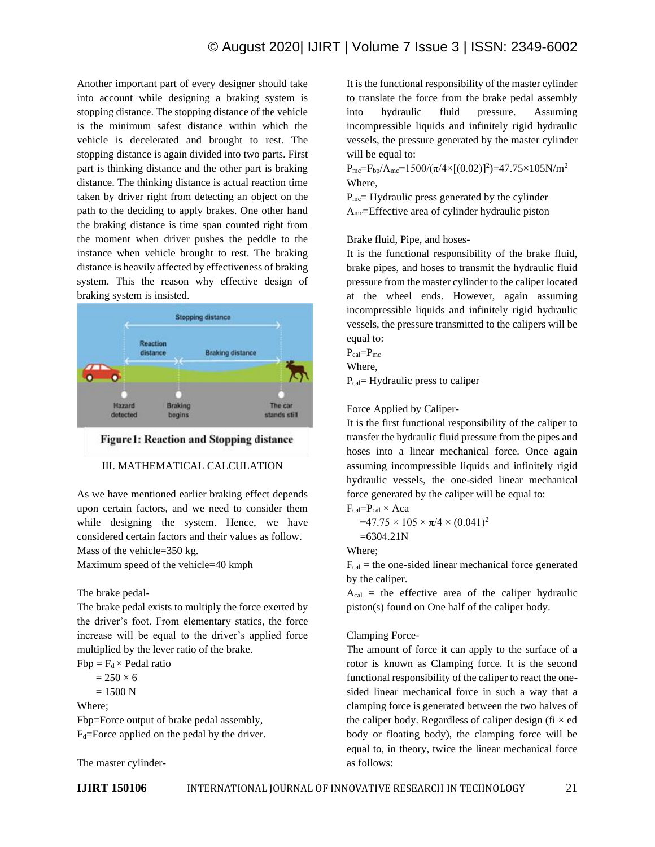Another important part of every designer should take into account while designing a braking system is stopping distance. The stopping distance of the vehicle is the minimum safest distance within which the vehicle is decelerated and brought to rest. The stopping distance is again divided into two parts. First part is thinking distance and the other part is braking distance. The thinking distance is actual reaction time taken by driver right from detecting an object on the path to the deciding to apply brakes. One other hand the braking distance is time span counted right from the moment when driver pushes the peddle to the instance when vehicle brought to rest. The braking distance is heavily affected by effectiveness of braking system. This the reason why effective design of braking system is insisted.



**Figure1: Reaction and Stopping distance** 

# III. MATHEMATICAL CALCULATION

As we have mentioned earlier braking effect depends upon certain factors, and we need to consider them while designing the system. Hence, we have considered certain factors and their values as follow. Mass of the vehicle=350 kg.

Maximum speed of the vehicle=40 kmph

The brake pedal-

The brake pedal exists to multiply the force exerted by the driver's foot. From elementary statics, the force increase will be equal to the driver's applied force multiplied by the lever ratio of the brake.

 $Fbp = F<sub>d</sub> \times Pedal ratio$ 

 $= 250 \times 6$ 

 $= 1500 N$ 

Where;

Fbp=Force output of brake pedal assembly,  $F_d$ =Force applied on the pedal by the driver.

The master cylinder-

to translate the force from the brake pedal assembly into hydraulic fluid pressure. Assuming incompressible liquids and infinitely rigid hydraulic vessels, the pressure generated by the master cylinder will be equal to:  $P_{\text{mc}}=F_{\text{bp}}/A_{\text{mc}}=1500/(\pi/4\times[(0.02)]^2)=47.75\times105N/m^2$ Where,

 $P_{\text{mc}}$  = Hydraulic press generated by the cylinder Amc=Effective area of cylinder hydraulic piston

It is the functional responsibility of the master cylinder

Brake fluid, Pipe, and hoses-

It is the functional responsibility of the brake fluid, brake pipes, and hoses to transmit the hydraulic fluid pressure from the master cylinder to the caliper located at the wheel ends. However, again assuming incompressible liquids and infinitely rigid hydraulic vessels, the pressure transmitted to the calipers will be equal to:

 $P_{cal}=P_{mc}$ Where,

 $P_{cal}$ = Hydraulic press to caliper

Force Applied by Caliper-

It is the first functional responsibility of the caliper to transfer the hydraulic fluid pressure from the pipes and hoses into a linear mechanical force. Once again assuming incompressible liquids and infinitely rigid hydraulic vessels, the one-sided linear mechanical force generated by the caliper will be equal to:

 $F_{cal}=P_{cal} \times Aca$  $=47.75\times105\times\pi/4\times(0.041)^2$  $=6304.21N$ 

Where;

 $F_{cal}$  = the one-sided linear mechanical force generated by the caliper.

 $A_{cal}$  = the effective area of the caliper hydraulic piston(s) found on One half of the caliper body.

# Clamping Force-

The amount of force it can apply to the surface of a rotor is known as Clamping force. It is the second functional responsibility of the caliper to react the onesided linear mechanical force in such a way that a clamping force is generated between the two halves of the caliper body. Regardless of caliper design (fi  $\times$  ed body or floating body), the clamping force will be equal to, in theory, twice the linear mechanical force as follows: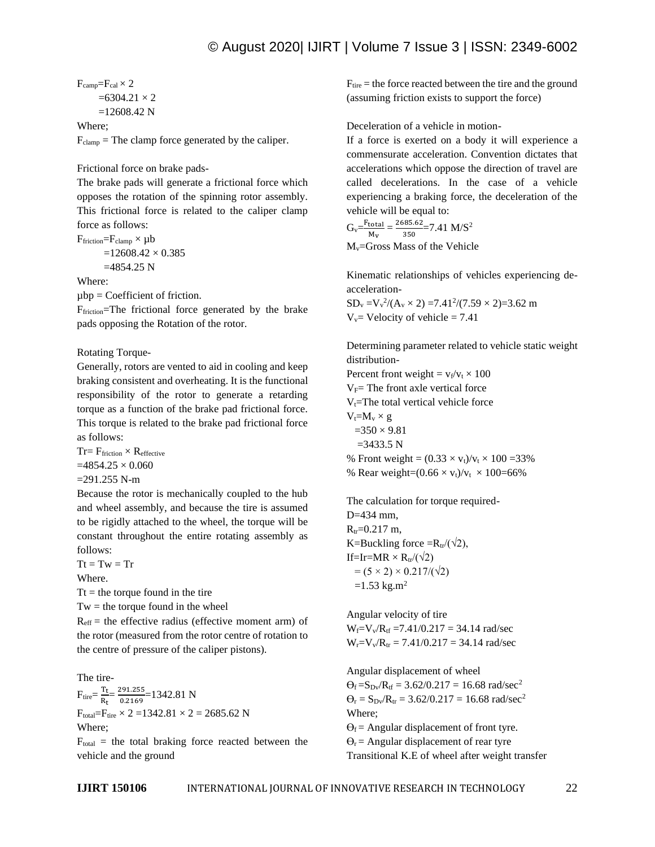$F_{\text{camp}}=F_{\text{cal}}\times 2$  $=6304.21 \times 2$  $=12608.42$  N

Where;

 $F_{\text{clamp}}$  = The clamp force generated by the caliper.

Frictional force on brake pads-

The brake pads will generate a frictional force which opposes the rotation of the spinning rotor assembly. This frictional force is related to the caliper clamp force as follows:

$$
F_{friction} = F_{clamp} \times \mu b
$$
  
=12608.42 × 0.385  
=4854.25 N

Where:

 $\mu$ bp = Coefficient of friction.

Ffriction=The frictional force generated by the brake pads opposing the Rotation of the rotor.

Rotating Torque-

Generally, rotors are vented to aid in cooling and keep braking consistent and overheating. It is the functional responsibility of the rotor to generate a retarding torque as a function of the brake pad frictional force. This torque is related to the brake pad frictional force as follows:

 $Tr = F_{friction} \times R_{effective}$  $=4854.25 \times 0.060$  $=291.255$  N-m

Because the rotor is mechanically coupled to the hub and wheel assembly, and because the tire is assumed to be rigidly attached to the wheel, the torque will be constant throughout the entire rotating assembly as follows:

 $Tt = Tw = Tr$ Where.

 $Tt =$  the torque found in the tire

 $Tw =$  the torque found in the wheel

 $R<sub>eff</sub>$  = the effective radius (effective moment arm) of the rotor (measured from the rotor centre of rotation to the centre of pressure of the caliper pistons).

The tire- $F_{\text{tire}} = \frac{T_{\text{t}}}{D}$  $rac{T_t}{R_t} = \frac{291.255}{0.2169}$  $\frac{1591.233}{0.2169}$  = 1342.81 N  $F_{total} = F_{tire} \times 2 = 1342.81 \times 2 = 2685.62$  N Where;

 $F_{total}$  = the total braking force reacted between the vehicle and the ground

 $F_{\text{tire}}$  = the force reacted between the tire and the ground (assuming friction exists to support the force)

Deceleration of a vehicle in motion-

If a force is exerted on a body it will experience a commensurate acceleration. Convention dictates that accelerations which oppose the direction of travel are called decelerations. In the case of a vehicle experiencing a braking force, the deceleration of the vehicle will be equal to:

$$
G_v = \frac{F_{total}}{M_v} = \frac{2685.62}{350} = 7.41 \text{ M/S}^2
$$

Mv=Gross Mass of the Vehicle

Kinematic relationships of vehicles experiencing deacceleration-

 $SD_v = V_v^2/(A_v \times 2) = 7.41^2/(7.59 \times 2) = 3.62$  m  $V_v$ = Velocity of vehicle = 7.41

Determining parameter related to vehicle static weight distribution-

Percent front weight =  $v_f/v_t \times 100$  $V_F$ = The front axle vertical force  $V_t$ =The total vertical vehicle force  $V_t = M_v \times g$  $=350 \times 9.81$  $=3433.5 N$ % Front weight =  $(0.33 \times v_t)/v_t \times 100 = 33\%$ % Rear weight= $(0.66 \times v_t)/v_t \times 100$ =66%

The calculation for torque required-D=434 mm,  $R_{tr} = 0.217$  m, K=Buckling force = $R_{tr}/(\sqrt{2})$ , If=Ir=MR  $\times$  R<sub>tr</sub>/( $\sqrt{2}$ )  $= (5 \times 2) \times 0.217 / (\sqrt{2})$  $=1.53$  kg.m<sup>2</sup>

Angular velocity of tire  $W_f=V_v/R_{tf} = 7.41/0.217 = 34.14$  rad/sec  $W_r = V_v/R_{tr} = 7.41/0.217 = 34.14$  rad/sec

Angular displacement of wheel

 $\Theta_f = S_{\text{Dv}}/R_{\text{tf}} = 3.62/0.217 = 16.68 \text{ rad/sec}^2$  $\Theta_r = S_{Dv}/R_{tr} = 3.62/0.217 = 16.68$  rad/sec<sup>2</sup> Where;  $\Theta_f$  = Angular displacement of front tyre.

 $\Theta_r$  = Angular displacement of rear tyre Transitional K.E of wheel after weight transfer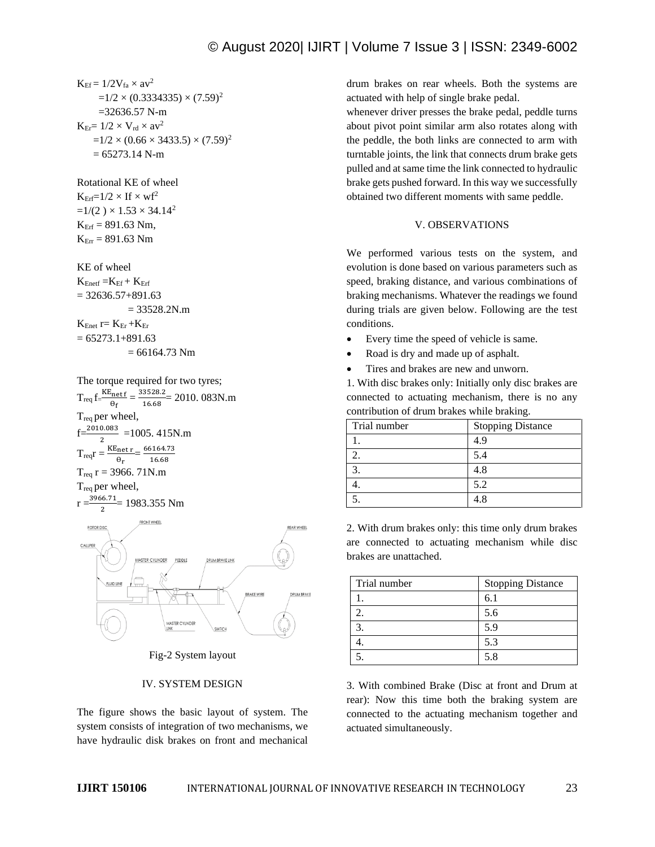$K_{Ef} = 1/2V_{fa} \times av^2$  $=1/2 \times (0.3334335) \times (7.59)^2$  =32636.57 N-m  $K_{Er} = 1/2 \times V_{rd} \times av^2$ 

 $=1/2 \times (0.66 \times 3433.5) \times (7.59)^2$  $= 65273.14$  N-m

Rotational KE of wheel  $K_{\text{Erf}}=1/2\times If\times wf^2$  $=1/(2) \times 1.53 \times 34.14^2$  $K_{\text{Erf}} = 891.63$  Nm,  $K_{Err} = 891.63$  Nm

KE of wheel  $K_{Enetf} = K_{Ef} + K_{Erf}$ 

 $= 32636.57 + 891.63$  $= 33528.2N.m$  $K_{Enet}$  r=  $K_{Er}$  + $K_{Er}$  $= 65273.1 + 891.63$ 

 $= 66164.73$  Nm

The torque required for two tyres;  $T_{\text{req}} f = \frac{KE_{\text{net}} f}{2}$  $\frac{\beta_{\text{net f}}}{\theta_{\text{f}}} = \frac{33528.2}{16.68}$  $\frac{3328.2}{16.68}$  = 2010. 083N.m  $T_{req}$  per wheel,  $f=\frac{2010.083}{2}$  = 1005. 415N.m  $T_{\text{req}}r = \frac{\text{KE}_{\text{net}}r}{2}$  $\frac{\text{net r}}{\theta_r} = \frac{66164.73}{16.68}$ 16.68  $T_{req}$  r = 3966. 71N.m Treq per wheel,



Fig-2 System layout

# IV. SYSTEM DESIGN

The figure shows the basic layout of system. The system consists of integration of two mechanisms, we have hydraulic disk brakes on front and mechanical drum brakes on rear wheels. Both the systems are actuated with help of single brake pedal.

whenever driver presses the brake pedal, peddle turns about pivot point similar arm also rotates along with the peddle, the both links are connected to arm with turntable joints, the link that connects drum brake gets pulled and at same time the link connected to hydraulic brake gets pushed forward. In this way we successfully obtained two different moments with same peddle.

# V. OBSERVATIONS

We performed various tests on the system, and evolution is done based on various parameters such as speed, braking distance, and various combinations of braking mechanisms. Whatever the readings we found during trials are given below. Following are the test conditions.

- Every time the speed of vehicle is same.
- Road is dry and made up of asphalt.
- Tires and brakes are new and unworn.

1. With disc brakes only: Initially only disc brakes are connected to actuating mechanism, there is no any contribution of drum brakes while braking.

| Trial number | <b>Stopping Distance</b> |
|--------------|--------------------------|
|              | 4.9                      |
|              | 5.4                      |
|              | 4.8                      |
|              | 5.2                      |
|              |                          |

2. With drum brakes only: this time only drum brakes are connected to actuating mechanism while disc brakes are unattached.

| Trial number | <b>Stopping Distance</b> |
|--------------|--------------------------|
|              | 6.1                      |
|              | 5.6                      |
|              | 5.9                      |
|              | 5.3                      |
|              | 5.8                      |

3. With combined Brake (Disc at front and Drum at rear): Now this time both the braking system are connected to the actuating mechanism together and actuated simultaneously.